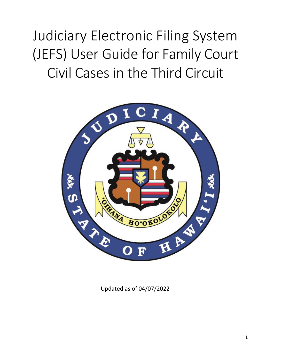Judiciary Electronic Filing System (JEFS) User Guide for Family Court Civil Cases in the Third Circuit



Updated as of 04/07/2022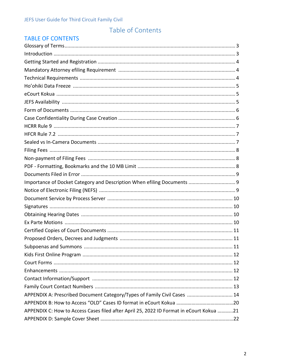# Table of Contents

## **TABLE OF CONTENTS**

| Importance of Docket Category and Description When efiling Documents  9                 |  |
|-----------------------------------------------------------------------------------------|--|
|                                                                                         |  |
|                                                                                         |  |
|                                                                                         |  |
|                                                                                         |  |
|                                                                                         |  |
|                                                                                         |  |
|                                                                                         |  |
|                                                                                         |  |
|                                                                                         |  |
|                                                                                         |  |
|                                                                                         |  |
|                                                                                         |  |
|                                                                                         |  |
| APPENDIX A: Prescribed Document Category/Types of Family Civil Cases  14                |  |
|                                                                                         |  |
| APPENDIX C: How to Access Cases filed after April 25, 2022 ID Format in eCourt Kokua 21 |  |
|                                                                                         |  |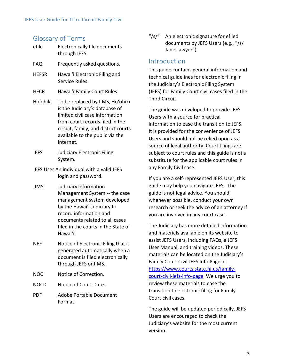#### Glossary of Terms

- efile Electronically file documents through JEFS.
- FAQ Frequently asked questions.
- HEFSR Hawaiʻi Electronic Filing and Service Rules.
- HFCR Hawaiʻi Family Court Rules
- Hoʻohiki To be replaced by JIMS, Hoʻohiki is the Judiciary's database of limited civil case information from court records filed in the circuit, family, and district courts available to the public via the internet.
- JEFS Judiciary Electronic Filing System.
- JEFS User An individual with a valid JEFS login and password.
- JIMS Judiciary Information Management System -- the case management system developed by the Hawaiʻi Judiciary to record information and documents related to all cases filed in the courts in the State of Hawaiʻi.
- NEF Notice of Electronic Filing that is generated automatically when a document is filed electronically through JEFS or JIMS.
- NOC Notice of Correction.
- NOCD Notice of Court Date.
- PDF Adobe Portable Document Format.

"/s/" An electronic signature for efiled documents by JEFS Users (e.g., "/s/ Jane Lawyer").

#### **Introduction**

This guide contains general information and technical guidelines for electronic filing in the Judiciary's Electronic Filing System (JEFS) for Family Court civil cases filed in the Third Circuit.

The guide was developed to provide JEFS Users with a source for practical information to ease the transition to JEFS. It is provided for the convenience of JEFS Users and should not be relied upon as a source of legal authority. Court filings are subject to court rules and this guide is not a substitute for the applicable court rules in any Family Civil case.

If you are a self-represented JEFS User, this guide may help you navigate JEFS. The guide is not legal advice. You should, whenever possible, conduct your own research or seek the advice of an attorney if you are involved in any court case.

The Judiciary has more detailed information and materials available on its website to assist JEFS Users, including FAQs, a JEFS User Manual, and training videos. These materials can be located on the Judiciary's Family Court Civil JEFS Info Page at [https://www.courts.state.hi.us/family](https://www.courts.state.hi.us/family-court-civil-jefs-info-page)[court-civil-jefs-info-page](https://www.courts.state.hi.us/family-court-civil-jefs-info-page) We urge you to review these materials to ease the transition to electronic filing for Family Court civil cases.

The guide will be updated periodically. JEFS Users are encouraged to check the Judiciary's website for the most current version.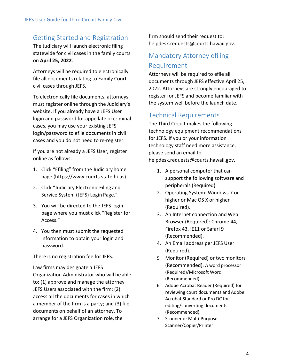# Getting Started and Registration

The Judiciary will launch electronic filing statewide for civil cases in the family courts on **April 25, 2022**.

Attorneys will be required to electronically file all documents relating to Family Court civil cases through JEFS.

To electronically file documents, attorneys must register online through the Judiciary's website. If you already have a JEFS User login and password for appellate or criminal cases, you may use your existing JEFS login/password to efile documents in civil cases and you do not need to re-register.

If you are not already a JEFS User, register online as follows:

- 1. Click "Efiling" from the Judiciary home page (https://www.courts.state.hi.us).
- 2. Click "Judiciary Electronic Filing and Service System (JEFS) Login Page."
- 3. You will be directed to the JEFS login page where you must click "Register for Access."
- 4. You then must submit the requested information to obtain your login and password.

There is no registration fee for JEFS.

Law firms may designate a JEFS Organization Administrator who will be able to: (1) approve and manage the attorney JEFS Users associated with the firm; (2) access all the documents for cases in which a member of the firm is a party; and (3) file documents on behalf of an attorney. To arrange for a JEFS Organization role, the

firm should send their request to: [helpdesk.requests@courts.hawaii.gov.](mailto:helpdesk.requests@courts.hawaii.gov)

# Mandatory Attorney efiling Requirement

Attorneys will be required to efile all documents through JEFS effective April 25, 2022. Attorneys are strongly encouraged to register for JEFS and become familiar with the system well before the launch date.

# Technical Requirements

The Third Circuit makes the following technology equipment recommendations for JEFS. If you or your information technology staff need more assistance, please send an email to [helpdesk.requests@courts.hawaii.gov.](mailto:helpdesk.requests@courts.hawaii.gov)

- 1. A personal computer that can support the following software and peripherals (Required).
- 2. Operating System: Windows 7 or higher or Mac OS X or higher (Required).
- 3. An Internet connection and Web Browser (Required): Chrome 44, Firefox 43, IE11 or Safari 9 (Recommended).
- 4. An Email address per JEFS User (Required).
- 5. Monitor (Required) or two monitors (Recommended). A word processor (Required)/Microsoft Word (Recommended).
- 6. Adobe Acrobat Reader (Required) for reviewing court documents and Adobe Acrobat Standard or Pro DC for editing/converting documents (Recommended).
- 7. Scanner or Multi-Purpose Scanner/Copier/Printer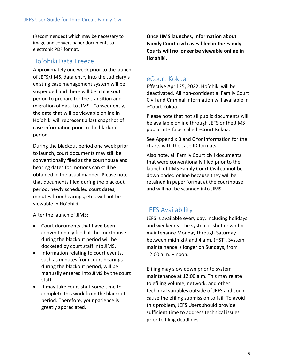(Recommended) which may be necessary to image and convert paper documents to electronic PDF format.

### Ho'ohiki Data Freeze

Approximately one week prior to the launch of JEFS/JIMS, data entry into the Judiciary's existing case management system will be suspended and there will be a blackout period to prepare for the transition and migration of data to JIMS. Consequently, the data that will be viewable online in Hoʻohiki will represent a last snapshot of case information prior to the blackout period.

During the blackout period one week prior to launch, court documents may still be conventionally filed at the courthouse and hearing dates for motions can still be obtained in the usual manner. Please note that documents filed during the blackout period, newly scheduled court dates, minutes from hearings, etc., will not be viewable in Hoʻohiki.

After the launch of JIMS:

- Court documents that have been conventionally filed at the courthouse during the blackout period will be docketed by court staff into JIMS.
- Information relating to court events, such as minutes from court hearings during the blackout period, will be manually entered into JIMS by the court staff.
- It may take court staff some time to complete this work from the blackout period. Therefore, your patience is greatly appreciated.

**Once JIMS launches, information about Family Court civil cases filed in the Family Courts will no longer be viewable online in Hoʻohiki**.

## eCourt Kokua

Effective April 25, 2022, Ho'ohiki will be deactivated. All non-confidential Family Court Civil and Criminal information will available in eCourt Kokua.

Please note that not all public documents will be available online through JEFS or the JIMS public interface, called eCourt Kokua.

See Appendix B and C for information for the charts with the case ID formats.

Also note, all Family Court civil documents that were conventionally filed prior to the launch of JIMS Family Court Civil cannot be downloaded online because they will be retained in paper format at the courthouse and will not be scanned into JIMS.

## JEFS Availability

JEFS is available every day, including holidays and weekends. The system is shut down for maintenance Monday through Saturday between midnight and 4 a.m. (HST). System maintainance is longer on Sundays, from 12:00 a.m. – noon.

Efiling may slow down prior to system maintenance at 12:00 a.m. This may relate to efiling volume, network, and other technical variables outside of JEFS and could cause the efiling submission to fail. To avoid this problem, JEFS Users should provide sufficient time to address technical issues prior to filing deadlines.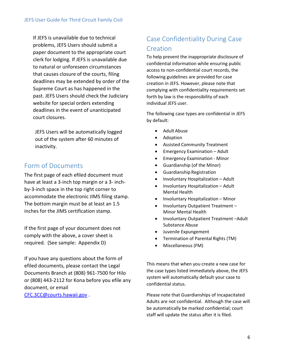If JEFS is unavailable due to technical problems, JEFS Users should submit a paper document to the appropriate court clerk for lodging. If JEFS is unavailable due to natural or unforeseen circumstances that causes closure of the courts, filing deadlines may be extended by order of the Supreme Court as has happened in the past. JEFS Users should check the Judiciary website for special orders extending deadlines in the event of unanticipated court closures.

JEFS Users will be automatically logged out of the system after 60 minutes of inactivity.

# Form of Documents

The first page of each efiled document must have at least a 3-inch top margin or a 3- inchby-3-inch space in the top right corner to accommodate the electronic JIMS filing stamp. The bottom margin must be at least an 1.5 inches for the JIMS certification stamp.

If the first page of your document does not comply with the above, a cover sheet is required. (See sample: Appendix D)

If you have any questions about the form of efiled documents, please contact the Legal Documents Branch at (808) 961-7500 for Hilo or (808) 443-2112 for Kona before you efile any document, or email [CFC.3CC@courts.hawaii.gov](mailto:CFC.3CC@courts.hawaii.gov) .

# Case Confidentiality During Case **Creation**

To help prevent the inappropriate disclosure of confidential information while ensuring public access to non-confidential court records, the following guidelines are provided for case creation in JEFS. However, please note that complying with confidentiality requirements set forth by law is the responsibility of each individual JEFS user.

The following case types are confidential in JEFS by default:

- Adult Abuse
- Adoption
- Assisted Community Treatment
- Emergency Examination Adult
- Emergency Examination Minor
- Guardianship (of the Minor)
- Guardianship Registration
- Involuntary Hospitalization Adult
- Involuntary Hospitalization Adult Mental Health
- Involuntary Hospitalization Minor
- Involuntary Outpatient Treatment Minor Mental Health
- Involuntary Outpatient Treatment –Adult Substance Abuse
- Juvenile Expungement
- Termination of Parental Rights (TM)
- Miscellaneous (FM)

This means that when you create a new case for the case types listed immediately above, the JEFS system will automatically default your case to confidential status.

Please note that Guardianships of Incapacitated Adults are not confidential. Although the case will be automatically be marked confidential; court staff will update the status after it is filed.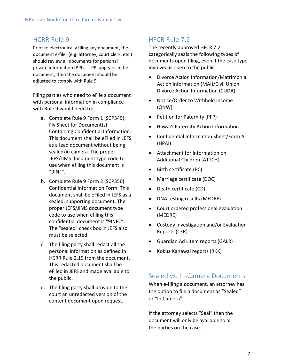### HCRR Rule 9

Prior to electronically filing any document, the document e-filer (e.g. attorney, court clerk, etc.) should review all documents for personal private information (PPI). If PPI appears in the document, then the document should be adjusted to comply with Rule 9.

Filing parties who need to eFile a document with personal information in compliance with Rule 9 would need to:

- a. [Complete Rule 9 Form 1](http://www.courts.state.hi.us/self-help/courts/forms/oahu/record_rules_forms) (SCP349): Fly Sheet for Document(s) Containing Confidential Information. This document shall be eFiled in JEFS as a lead document without being sealed/in camera. The proper JEFS/JIMS document type code to use when efiling this document is "9INF".
- b. [Complete Rule 9 Form 2](http://www.courts.state.hi.us/self-help/courts/forms/oahu/record_rules_forms) (SCP350) Confidential Information Form. This document shall be eFiled in JEFS as a sealed, supporting document. The proper JEFS/JIMS document type code to use when efiling this confidential document is "9INFC". The "sealed" check box in JEFS also must be selected.
- c. The filing party shall redact all the personal information as defined in [HCRR Rule 2.19](http://www.courts.state.hi.us/docs/court_rules/rules/hcrr.htm#2.1) from the document. This redacted document shall be eFiled in JEFS and made available to the public.
- d. The filing party shall provide to the court an unredacted version of the content document upon request.

# HFCR Rule 7.2

The recently approved HFCR 7.2 categorically seals the following types of documents upon filing, even if the case type involved is open to the public:

- Divorce Action Information/Matrimonial Action Information (MAI)/Civil Union Divorce Action Information (CUDA)
- Notice/Order to Withhold Income (ONW)
- Petition for Paternity (PFP)
- Hawai'i Paternity Action Information
- Confidential Information Sheet/Form A (HPAI)
- Attachment for Information on Additional Children (ATTCH)
- Birth certificate (BC)
- Marriage certificate (DOC)
- Death certificate (CD)
- DNA testing results (MEDRE)
- Court ordered professional evaluation (MEDRE)
- Custody Investigation and/or Evaluation Reports (CER)
- Guardian Ad Litem reports (GALR)
- Kokua Kanawai reports (RKK)

## Sealed vs. In-Camera Documents

When e-filing a document, an attorney has the option to file a document as "Sealed" or "In Camera"

If the attorney selects "Seal" then the document will only be available to all the parties on the case.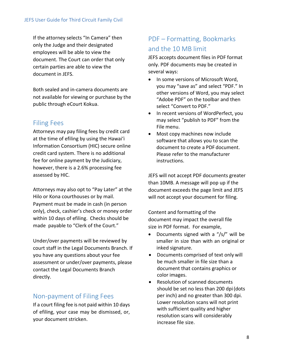If the attorney selects "In Camera" then only the Judge and their designated employees will be able to view the document. The Court can order that only certain parties are able to view the document in JEFS.

Both sealed and in-camera documents are not available for viewing or purchase by the public through eCourt Kokua.

## Filing Fees

Attorneys may pay filing fees by credit card at the time of efiling by using the Hawaiʻi Information Consortium (HIC) secure online credit card system. There is no additional fee for online payment by the Judiciary, however, there is a 2.6% processing fee assessed by HIC.

Attorneys may also opt to "Pay Later" at the Hilo or Kona courthouses or by mail. Payment must be made in cash (in person only), check, cashier's check or money order within 10 days of efiling. Checks should be made payable to "Clerk of the Court."

Under/over payments will be reviewed by court staff in the Legal Documents Branch. If you have any questions about your fee assessment or under/over payments, please contact the Legal Documents Branch directly.

## Non-payment of Filing Fees

If a court filing fee is not paid within 10 days of efiling, your case may be dismissed, or, your document stricken.

# PDF – Formatting, Bookmarks and the 10 MB limit

JEFS accepts document files in PDF format only. PDF documents may be created in several ways:

- In some versions of Microsoft Word, you may "save as" and select "PDF." In other versions of Word, you may select "Adobe PDF" on the toolbar and then select "Convert to PDF."
- In recent versions of WordPerfect, you may select "publish to PDF" from the File menu.
- Most copy machines now include software that allows you to scan the document to create a PDF document. Please refer to the manufacturer instructions.

JEFS will not accept PDF documents greater than 10MB. A message will pop up if the document exceeds the page limit and JEFS will not accept your document for filing.

Content and formatting of the document may impact the overall file size in PDF format. For example,

- Documents signed with a "/s/" will be smaller in size than with an original or inked signature.
- Documents comprised of text only will be much smaller in file size than a document that contains graphics or color images.
- Resolution of scanned documents should be set no less than 200 dpi(dots per inch) and no greater than 300 dpi. Lower resolution scans will not print with sufficient quality and higher resolution scans will considerably increase file size.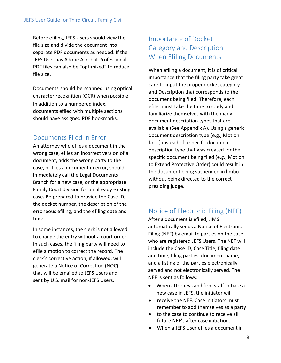Before efiling, JEFS Users should view the file size and divide the document into separate PDF documents as needed. If the JEFS User has Adobe Acrobat Professional, PDF files can also be "optimized" to reduce file size.

Documents should be scanned using optical character recognition (OCR) when possible. In addition to a numbered index, documents efiled with multiple sections should have assigned PDF bookmarks.

## Documents Filed in Error

An attorney who efiles a document in the wrong case, efiles an incorrect version of a document, adds the wrong party to the case, or files a document in error, should immediately call the Legal Documents Branch for a new case, or the appropriate Family Court division for an already existing case**.** Be prepared to provide the Case ID, the docket number, the description of the erroneous efiling, and the efiling date and time.

In some instances, the clerk is not allowed to change the entry without a court order. In such cases, the filing party will need to efile a motion to correct the record. The clerk's corrective action, if allowed, will generate a Notice of Correction (NOC) that will be emailed to JEFS Users and sent by U.S. mail for non-JEFS Users.

# Importance of Docket Category and Description When Efiling Documents

When efiling a document, it is of critical importance that the filing party take great care to input the proper docket category and Description that corresponds to the document being filed. Therefore, each efiler must take the time to study and familiarize themselves with the many document description types that are available (See Appendix A). Using a generic document description type (e.g., Motion for…) instead of a specific document description type that was created for the specific document being filed (e.g., Motion to Extend Protective Order) could result in the document being suspended in limbo without being directed to the correct presiding judge.

## Notice of Electronic Filing (NEF)

After a document is efiled, JIMS automatically sends a Notice of Electronic Filing (NEF) by email to parties on the case who are registered JEFS Users. The NEF will include the Case ID, Case Title, filing date and time, filing parties, document name, and a listing of the parties electronically served and not electronically served. The NEF is sent as follows:

- When attorneys and firm staff initiate a new case in JEFS, the initiator will
- receive the NEF. Case initiators must remember to add themselves as a party
- to the case to continue to receive all future NEF's after case initiation.
- When a JEFS User efiles a document in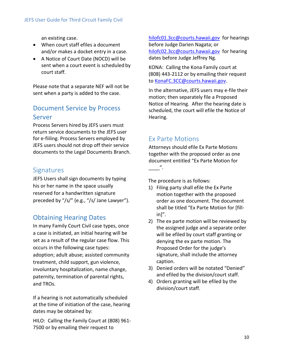an existing case.

- When court staff efiles a document and/or makes a docket entry in a case.
- A Notice of Court Date (NOCD) will be sent when a court event is scheduled by court staff.

Please note that a separate NEF will not be sent when a party is added to the case.

# Document Service by Process Server

Process Servers hired by JEFS users must return service documents to the JEFS user for e-fiiling. Process Servers employed by JEFS users should not drop off their service documents to the Legal Documents Branch.

## **Signatures**

JEFS Users shall sign documents by typing his or her name in the space usually reserved for a handwritten signature preceded by "/s/" (e.g., "/s/ Jane Lawyer").

# Obtaining Hearing Dates

In many Family Court Civil case types, once a case is initiated, an initial hearing will be set as a result of the regular case flow. This occurs in the following case types: adoption; adult abuse; assisted community treatment, child support, gun violence, involuntary hospitalization, name change, paternity, termination of parental rights, and TROs.

If a hearing is not automatically scheduled at the time of initiation of the case, hearing dates may be obtained by:

HILO: Calling the Family Court at (808) 961- 7500 or by emailing their request to

[hilofc01.3cc@courts.hawaii.gov](mailto:hilofc01.3cc@courts.hawaii.gov) for hearings before Judge Darien Nagata; or [hilofc02.3cc@courts.hawaii.gov](mailto:hilofc02.3cc@courts.hawaii.gov) for hearing dates before Judge Jeffrey Ng.

KONA: Calling the Kona Family court at (808) 443-2112 or by emailing their request to [KonaFC.3CC@courts.hawaii.gov.](mailto:KonaFC.3CC@courts.hawaii.gov)

In the alternative, JEFS users may e-file their motion; then separately file a Proposed Notice of Hearing. After the hearing date is scheduled, the court will efile the Notice of Hearing.

## Ex Parte Motions

Attorneys should efile Ex Parte Motions together with the proposed order as one document entitled "Ex Parte Motion for  $\overline{\phantom{a}}$ .

The procedure is as follows:

- 1) Filing party shall efile the Ex Parte motion together with the proposed order as one document. The document shall be titled "Ex Parte Motion for [fillin]".
- 2) The ex parte motion will be reviewed by the assigned judge and a separate order will be efiled by court staff granting or denying the ex parte motion. The Proposed Order for the judge's signature, shall include the attorney caption.
- 3) Denied orders will be notated "Denied" and efiled by the division/court staff.
- 4) Orders granting will be efiled by the division/court staff.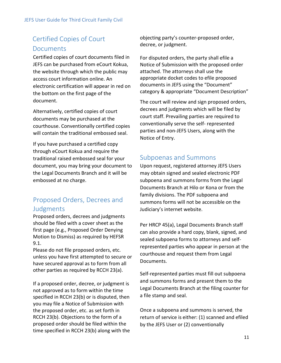# Certified Copies of Court **Documents**

Certified copies of court documents filed in JEFS can be purchased from eCourt Kokua, the website through which the public may access court information online. An electronic certification will appear in red on the bottom on the first page of the document.

Alternatively, certified copies of court documents may be purchased at the courthouse. Conventionally certified copies will contain the traditional embossed seal.

If you have purchased a certified copy through eCourt Kokua and require the traditional raised embossed seal for your document, you may bring your document to the Legal Documents Branch and it will be embossed at no charge.

## Proposed Orders, Decrees and Judgments

Proposed orders, decrees and judgments should be filed with a cover sheet as the first page (e.g., Proposed Order Denying Motion to Dismiss) as required by HEFSR 9.1.

Please do not file proposed orders, etc. unless you have first attempted to secure or have secured approval as to form from all other parties as required by RCCH 23(a).

If a proposed order, decree, or judgment is not approved as to form within the time specified in RCCH 23(b) or is disputed, then you may file a Notice of Submission with the proposed order, etc. as set forth in RCCH 23(b). Objections to the form of a proposed order should be filed within the time specified in RCCH 23(b) along with the objecting party's counter-proposed order, decree, or judgment.

For disputed orders, the party shall efile a Notice of Submission with the proposed order attached. The attorneys shall use the appropriate docket codes to efile proposed documents in JEFS using the "Document" category & appropriate "Document Description"

The court will review and sign proposed orders, decrees and judgments which will be filed by court staff. Prevailing parties are required to conventionally serve the self- represented parties and non-JEFS Users, along with the Notice of Entry.

## Subpoenas and Summons

Upon request, registered attorney JEFS Users may obtain signed and sealed electronic PDF subpoena and summons forms from the Legal Documents Branch at Hilo or Kona or from the family divisions. The PDF subpoena and summons forms will not be accessible on the Judiciary's internet website.

Per HRCP 45(a), Legal Documents Branch staff can also provide a hard copy, blank, signed, and sealed subpoena forms to attorneys and selfrepresented parties who appear in person at the courthouse and request them from Legal Documents.

Self-represented parties must fill out subpoena and summons forms and present them to the Legal Documents Branch at the filing counter for a file stamp and seal.

Once a subpoena and summons is served, the return of service is either: (1) scanned and efiled by the JEFS User or (2) conventionally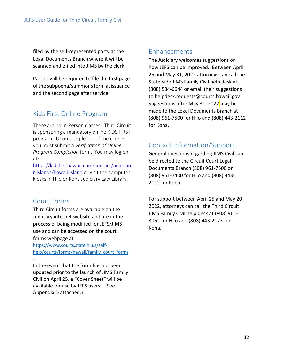filed by the self-represented party at the Legal Documents Branch where it will be scanned and efiled into JIMS by the clerk.

Parties will be required to file the first page of the subpoena/summons form atissuance and the second page after service.

## Kids First Online Program

There are no In-Person classes. Third Circuit is sponsoring a mandatory online KIDS FIRST program. Upon completion of the classes, you must submit a *Verification of Online Program Completion* form. You may log on at:

[https://kidsfirsthawaii.com/contact/neighbo](https://kidsfirsthawaii.com/contact/neighbor-islands/hawaii-island) [r-islands/hawaii-island](https://kidsfirsthawaii.com/contact/neighbor-islands/hawaii-island) or visit the computer kiosks in Hilo or Kona Judiciary Law Library.

## Court Forms

[.](https://www.courts.state.hi.us/self-help/courts/forms/oahu/family_court_forms)

Third Circuit forms are available on the Judiciary internet website and are in the process of being modified for JEFS/JIMS use and can be accessed on the court forms webpage at

[https://www.courts.state.hi.us/self](https://www.courts.state.hi.us/self-help/courts/forms/oahu/family_court_forms)[help/courts/forms/hawaii/family\\_court\\_forms](https://www.courts.state.hi.us/self-help/courts/forms/oahu/family_court_forms)

In the event that the form has not been updated prior to the launch of JIMS Family Civil on April 25, a "Cover Sheet" will be available for use by JEFS users. (See Appendix D attached.)

## Enhancements

The Judiciary welcomes suggestions on how JEFS can be improved. Between April 25 and May 31, 2022 attorneys can call the Statewide JIMS Family Civil help desk at (808) 534-6644 or email their suggestions to helpdesk.requests@courts.hawaii.gov Suggestions after May 31, 2022 may be made to the Legal Documents Branch at (808) 961-7500 for Hilo and (808) 443-2112 for Kona.

# Contact Information/Support

General questions regarding JIMS Civil can be directed to the Circuit Court Legal Documents Branch (808) 961-7500 or (808) 961-7400 for Hilo and (808) 443- 2112 for Kona.

For support between April 25 and May 20 2022, attorneys can call the Third Circuit JIMS Family Civil help desk at (808) 961- 3062 for Hilo and (808) 443-2123 for Kona.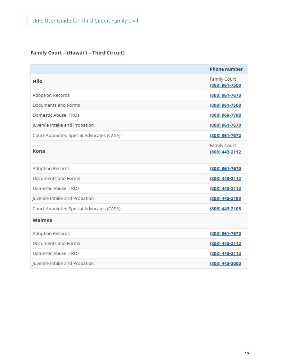## Family Court - (Hawai`i - Third Circuit)

|                                          | <b>Phone number</b>                   |
|------------------------------------------|---------------------------------------|
| Hilo                                     | <b>Family Court</b><br>(808) 961-7500 |
| <b>Adoption Records</b>                  | (808) 961-7670                        |
| Documents and Forms                      | (808) 961-7500                        |
| Domestic Abuse, TROs                     | (808) 969-7798                        |
| Juvenile Intake and Probation            | (808) 961-7670                        |
| Court-Appointed Special Advocates (CASA) | (808) 961-7672                        |
| Kona                                     | <b>Family Court</b><br>(808) 443-2112 |
| <b>Adoption Records</b>                  | (808) 961-7670                        |
| Documents and Forms                      | (808) 443-2112                        |
| Domestic Abuse, TROs                     | (808) 443-2112                        |
| Juvenile Intake and Probation            | (808) 443-2190                        |
| Court-Appointed Special Advocates (CASA) | (808) 443-2105                        |
| Waimea                                   |                                       |
| <b>Adoption Records</b>                  | (808) 961-7670                        |
| Documents and Forms                      | (808) 443-2112                        |
| Domestic Abuse, TROs                     | (808) 443-2112                        |
| Juvenile Intake and Probation            | (808) 443-2000                        |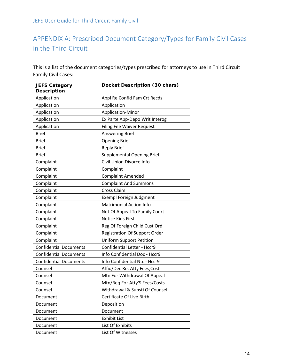# APPENDIX A: Prescribed Document Category/Types for Family Civil Cases in the Third Circuit

This is a list of the document categories/types prescribed for attorneys to use in Third Circuit Family Civil Cases:

| <b>JEFS Category</b><br><b>Description</b> | Docket Description (30 chars)        |
|--------------------------------------------|--------------------------------------|
| Application                                | Appl Re Confid Fam Crt Recds         |
| Application                                | Application                          |
| Application                                | Application-Minor                    |
| Application                                | Ex Parte App-Depo Writ Interog       |
| Application                                | <b>Filing Fee Waiver Request</b>     |
| <b>Brief</b>                               | <b>Answering Brief</b>               |
| <b>Brief</b>                               | <b>Opening Brief</b>                 |
| <b>Brief</b>                               | <b>Reply Brief</b>                   |
| <b>Brief</b>                               | <b>Supplemental Opening Brief</b>    |
| Complaint                                  | Civil Union Divorce Info             |
| Complaint                                  | Complaint                            |
| Complaint                                  | <b>Complaint Amended</b>             |
| Complaint                                  | <b>Complaint And Summons</b>         |
| Complaint                                  | Cross Claim                          |
| Complaint                                  | <b>Exempl Foreign Judgment</b>       |
| Complaint                                  | <b>Matrimonial Action Info</b>       |
| Complaint                                  | Not Of Appeal To Family Court        |
| Complaint                                  | <b>Notice Kids First</b>             |
| Complaint                                  | Reg Of Foreign Child Cust Ord        |
| Complaint                                  | <b>Registration Of Support Order</b> |
| Complaint                                  | <b>Uniform Support Petition</b>      |
| <b>Confidential Documents</b>              | Confidential Letter - Hccr9          |
| <b>Confidential Documents</b>              | Info Confidential Doc - Hccr9        |
| <b>Confidential Documents</b>              | Info Confidential Ntc - Hccr9        |
| Counsel                                    | Affid/Dec Re: Atty Fees, Cost        |
| Counsel                                    | Mtn For Withdrawal Of Appeal         |
| Counsel                                    | Mtn/Req For Atty'S Fees/Costs        |
| Counsel                                    | Withdrawal & Substi Of Counsel       |
| Document                                   | Certificate Of Live Birth            |
| Document                                   | Deposition                           |
| Document                                   | Document                             |
| Document                                   | <b>Exhibit List</b>                  |
| Document                                   | List Of Exhibits                     |
| Document                                   | List Of Witnesses                    |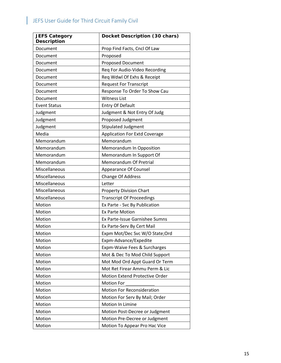| <b>JEFS Category</b><br><b>Description</b> | Docket Description (30 chars)        |
|--------------------------------------------|--------------------------------------|
| Document                                   | Prop Find Facts, Cncl Of Law         |
| Document                                   | Proposed                             |
| Document                                   | <b>Proposed Document</b>             |
| Document                                   | Req For Audio-Video Recording        |
| Document                                   | Req Wdwl Of Exhs & Receipt           |
| Document                                   | <b>Request For Transcript</b>        |
| Document                                   | Response To Order To Show Cau        |
| Document                                   | <b>Witness List</b>                  |
| <b>Event Status</b>                        | Entry Of Default                     |
| Judgment                                   | Judgment & Not Entry Of Judg         |
| Judgment                                   | Proposed Judgment                    |
| Judgment                                   | <b>Stipulated Judgment</b>           |
| Media                                      | <b>Application For Extd Coverage</b> |
| Memorandum                                 | Memorandum                           |
| Memorandum                                 | Memorandum In Opposition             |
| Memorandum                                 | Memorandum In Support Of             |
| Memorandum                                 | Memorandum Of Pretrial               |
| Miscellaneous                              | <b>Appearance Of Counsel</b>         |
| Miscellaneous                              | <b>Change Of Address</b>             |
| Miscellaneous                              | Letter                               |
| Miscellaneous                              | <b>Property Division Chart</b>       |
| Miscellaneous                              | <b>Transcript Of Proceedings</b>     |
| Motion                                     | Ex Parte - Svc By Publication        |
| Motion                                     | <b>Ex Parte Motion</b>               |
| Motion                                     | Ex Parte-Issue Garnishee Sumns       |
| Motion                                     | Ex Parte-Serv By Cert Mail           |
| Motion                                     | Expm Mot/Dec Svc W/O State;Ord       |
| Motion                                     | Expm-Advance/Expedite                |
| Motion                                     | Expm-Waive Fees & Surcharges         |
| Motion                                     | Mot & Dec To Mod Child Support       |
| Motion                                     | Mot Mod Ord Appt Guard Or Term       |
| Motion                                     | Mot Ret Firear Ammu Perm & Lic       |
| Motion                                     | Motion Extend Protective Order       |
| Motion                                     | <b>Motion For</b>                    |
| Motion                                     | Motion For Reconsideration           |
| Motion                                     | Motion For Serv By Mail; Order       |
| Motion                                     | Motion In Limine                     |
| Motion                                     | Motion Post-Decree or Judgment       |
| Motion                                     | Motion Pre-Decree or Judgment        |
| Motion                                     | Motion To Appear Pro Hac Vice        |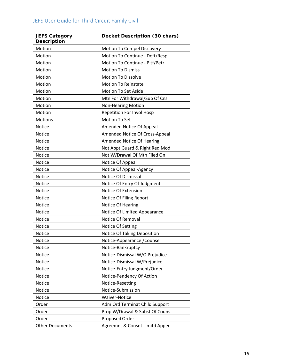L

| <b>JEFS Category</b><br><b>Description</b> | Docket Description (30 chars)    |
|--------------------------------------------|----------------------------------|
| Motion                                     | Motion To Compel Discovery       |
| Motion                                     | Motion To Continue - Deft/Resp   |
| Motion                                     | Motion To Continue - Pltf/Petr   |
| Motion                                     | <b>Motion To Dismiss</b>         |
| Motion                                     | <b>Motion To Dissolve</b>        |
| Motion                                     | <b>Motion To Reinstate</b>       |
| Motion                                     | <b>Motion To Set Aside</b>       |
| Motion                                     | Mtn For Withdrawal/Sub Of Cnsl   |
| Motion                                     | <b>Non-Hearing Motion</b>        |
| Motion                                     | Repetition For Invol Hosp        |
| <b>Motions</b>                             | <b>Motion To Set</b>             |
| Notice                                     | Amended Notice Of Appeal         |
| <b>Notice</b>                              | Amended Notice Of Cross-Appeal   |
| <b>Notice</b>                              | <b>Amended Notice Of Hearing</b> |
| Notice                                     | Not Appt Guard & Right Req Mod   |
| Notice                                     | Not W/Drawal Of Mtn Filed On     |
| Notice                                     | Notice Of Appeal                 |
| Notice                                     | Notice Of Appeal-Agency          |
| <b>Notice</b>                              | <b>Notice Of Dismissal</b>       |
| Notice                                     | Notice Of Entry Of Judgment      |
| <b>Notice</b>                              | Notice Of Extension              |
| <b>Notice</b>                              | Notice Of Filing Report          |
| <b>Notice</b>                              | Notice Of Hearing                |
| <b>Notice</b>                              | Notice Of Limited Appearance     |
| Notice                                     | Notice Of Removal                |
| <b>Notice</b>                              | Notice Of Setting                |
| Notice                                     | Notice Of Taking Deposition      |
| Notice                                     | Notice-Appearance / Counsel      |
| Notice                                     | Notice-Bankruptcy                |
| Notice                                     | Notice-Dismissal W/O Prejudice   |
| Notice                                     | Notice-Dismissal W/Prejudice     |
| <b>Notice</b>                              | Notice-Entry Judgment/Order      |
| Notice                                     | Notice-Pendency Of Action        |
| <b>Notice</b>                              | Notice-Resetting                 |
| Notice                                     | Notice-Submission                |
| Notice                                     | <b>Waiver-Notice</b>             |
| Order                                      | Adm Ord Terminat Child Support   |
| Order                                      | Prop W/Drawal & Subst Of Couns   |
| Order                                      | Proposed Order                   |
| <b>Other Documents</b>                     | Agreemnt & Consnt Limitd Apper   |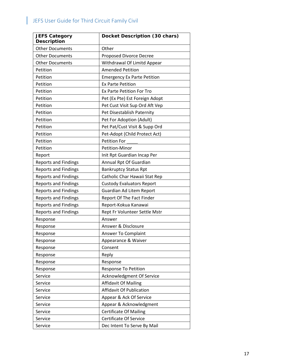| <b>JEFS Category</b><br><b>Description</b> | Docket Description (30 chars)      |
|--------------------------------------------|------------------------------------|
| <b>Other Documents</b>                     | Other                              |
| <b>Other Documents</b>                     | Proposed Divorce Decree            |
| <b>Other Documents</b>                     | Withdrawal Of Limitd Appear        |
| Petition                                   | <b>Amended Petition</b>            |
| Petition                                   | <b>Emergency Ex Parte Petition</b> |
| Petition                                   | <b>Ex Parte Petition</b>           |
| Petition                                   | <b>Ex Parte Petition For Tro</b>   |
| Petition                                   | Pet (Ex Pte) Est Foreign Adopt     |
| Petition                                   | Pet Cust Visit Sup Ord Aft Vep     |
| Petition                                   | Pet Disestablish Paternity         |
| Petition                                   | Pet For Adoption (Adult)           |
| Petition                                   | Pet Pat/Cust Visit & Supp Ord      |
| Petition                                   | Pet-Adopt (Child Protect Act)      |
| Petition                                   | <b>Petition For</b>                |
| Petition                                   | Petition-Minor                     |
| Report                                     | Init Rpt Guardian Incap Per        |
| <b>Reports and Findings</b>                | Annual Rpt Of Guardian             |
| <b>Reports and Findings</b>                | <b>Bankruptcy Status Rpt</b>       |
| <b>Reports and Findings</b>                | Catholic Char Hawaii Stat Rep      |
| <b>Reports and Findings</b>                | <b>Custody Evaluators Report</b>   |
| <b>Reports and Findings</b>                | Guardian Ad Litem Report           |
| <b>Reports and Findings</b>                | Report Of The Fact Finder          |
| <b>Reports and Findings</b>                | Report-Kokua Kanawai               |
| <b>Reports and Findings</b>                | Rept Fr Volunteer Settle Mstr      |
| Response                                   | Answer                             |
| Response                                   | Answer & Disclosure                |
| Response                                   | Answer To Complaint                |
| Response                                   | Appearance & Waiver                |
| Response                                   | Consent                            |
| Response                                   | Reply                              |
| Response                                   | Response                           |
| Response                                   | <b>Response To Petition</b>        |
| Service                                    | Acknowledgment Of Service          |
| Service                                    | <b>Affidavit Of Mailing</b>        |
| Service                                    | Affidavit Of Publication           |
| Service                                    | Appear & Ack Of Service            |
| Service                                    | Appear & Acknowledgment            |
| Service                                    | <b>Certificate Of Mailing</b>      |
| Service                                    | <b>Certificate Of Service</b>      |
| Service                                    | Dec Intent To Serve By Mail        |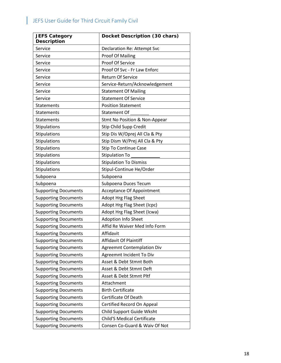L

| <b>JEFS Category</b><br><b>Description</b> | Docket Description (30 chars)      |
|--------------------------------------------|------------------------------------|
| Service                                    | <b>Declaration Re: Attempt Svc</b> |
| Service                                    | <b>Proof Of Mailing</b>            |
| Service                                    | Proof Of Service                   |
| Service                                    | Proof Of Svc - Fr Law Enforc       |
| Service                                    | <b>Return Of Service</b>           |
| Service                                    | Service-Return/Acknowledgement     |
| Service                                    | <b>Statement Of Mailing</b>        |
| Service                                    | <b>Statement Of Service</b>        |
| Statements                                 | <b>Position Statement</b>          |
| Statements                                 | <b>Statement Of</b>                |
| Statements                                 | Stmt No Position & Non-Appear      |
| Stipulations                               | Stip Child Supp Credit             |
| Stipulations                               | Stip Dis W/Oprej All Cla & Pty     |
| Stipulations                               | Stip Dism W/Prej All Cla & Pty     |
| Stipulations                               | <b>Stip To Continue Case</b>       |
| Stipulations                               | <b>Stipulation To</b>              |
| Stipulations                               | <b>Stipulation To Dismiss</b>      |
| Stipulations                               | Stipul-Continue He/Order           |
| Subpoena                                   | Subpoena                           |
| Subpoena                                   | Subpoena Duces Tecum               |
| <b>Supporting Documents</b>                | <b>Acceptance Of Appointment</b>   |
| <b>Supporting Documents</b>                | Adopt Hrg Flag Sheet               |
| <b>Supporting Documents</b>                | Adopt Hrg Flag Sheet (Icpc)        |
| <b>Supporting Documents</b>                | Adopt Hrg Flag Sheet (Icwa)        |
| <b>Supporting Documents</b>                | <b>Adoption Info Sheet</b>         |
| <b>Supporting Documents</b>                | Affid Re Waiver Med Info Form      |
| <b>Supporting Documents</b>                | Affidavit                          |
| <b>Supporting Documents</b>                | Affidavit Of Plaintiff             |
| <b>Supporting Documents</b>                | <b>Agreemnt Contemplation Div</b>  |
| <b>Supporting Documents</b>                | Agreemnt Incident To Div           |
| <b>Supporting Documents</b>                | Asset & Debt Stmnt Both            |
| <b>Supporting Documents</b>                | Asset & Debt Stmnt Deft            |
| <b>Supporting Documents</b>                | Asset & Debt Stmnt Pltf            |
| <b>Supporting Documents</b>                | Attachment                         |
| <b>Supporting Documents</b>                | <b>Birth Certificate</b>           |
| <b>Supporting Documents</b>                | Certificate Of Death               |
| <b>Supporting Documents</b>                | Certified Record On Appeal         |
| <b>Supporting Documents</b>                | Child Support Guide Wksht          |
| <b>Supporting Documents</b>                | <b>Child'S Medical Certificate</b> |
| <b>Supporting Documents</b>                | Consen Co-Guard & Waiv Of Not      |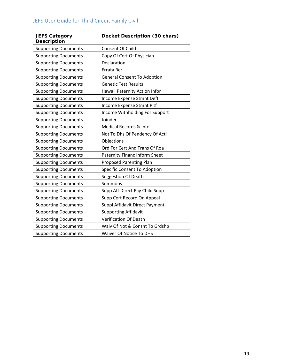| <b>JEFS Category</b><br><b>Description</b> | Docket Description (30 chars)      |
|--------------------------------------------|------------------------------------|
| <b>Supporting Documents</b>                | Consent Of Child                   |
| <b>Supporting Documents</b>                | Copy Of Cert Of Physician          |
| <b>Supporting Documents</b>                | Declaration                        |
| <b>Supporting Documents</b>                | Errata Re:                         |
| <b>Supporting Documents</b>                | <b>General Consent To Adoption</b> |
| <b>Supporting Documents</b>                | <b>Genetic Test Results</b>        |
| <b>Supporting Documents</b>                | Hawaii Paternity Action Infor      |
| <b>Supporting Documents</b>                | Income Expense Stmnt Deft          |
| <b>Supporting Documents</b>                | Income Expense Stmnt Pltf          |
| <b>Supporting Documents</b>                | Income Withholding For Support     |
| <b>Supporting Documents</b>                | Joinder                            |
| <b>Supporting Documents</b>                | Medical Records & Info             |
| <b>Supporting Documents</b>                | Not To Dhs Of Pendency Of Acti     |
| <b>Supporting Documents</b>                | Objections                         |
| <b>Supporting Documents</b>                | Ord For Cert And Trans Of Roa      |
| <b>Supporting Documents</b>                | Paternity Financ Inform Sheet      |
| <b>Supporting Documents</b>                | <b>Proposed Parenting Plan</b>     |
| <b>Supporting Documents</b>                | Specific Consent To Adoption       |
| <b>Supporting Documents</b>                | <b>Suggestion Of Death</b>         |
| <b>Supporting Documents</b>                | Summons                            |
| <b>Supporting Documents</b>                | Supp Aff Direct Pay Child Supp     |
| <b>Supporting Documents</b>                | Supp Cert Record On Appeal         |
| <b>Supporting Documents</b>                | Suppl Affidavit Direct Payment     |
| <b>Supporting Documents</b>                | <b>Supporting Affidavit</b>        |
| <b>Supporting Documents</b>                | Verification Of Death              |
| <b>Supporting Documents</b>                | Waiv Of Not & Consnt To Grdshp     |
| <b>Supporting Documents</b>                | Waiver Of Notice To DHS            |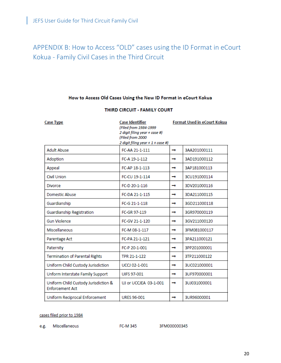# APPENDIX B: How to Access "OLD" cases using the ID Format in eCourt Kokua - Family Civil Cases in the Third Circuit

#### How to Access Old Cases Using the New ID Format in eCourt Kokua

| <b>Case Type</b>                                               | Case Identifier<br>(Filed from 1984-1999<br>2 digit filing year + case #)<br>(Filed from 2000<br>2 digit filing year + 1 + case #) |               | Format Used in eCourt Kokua |
|----------------------------------------------------------------|------------------------------------------------------------------------------------------------------------------------------------|---------------|-----------------------------|
| <b>Adult Abuse</b>                                             | FC-AA 21-1-111                                                                                                                     | →             | 3AA201000111                |
| Adoption                                                       | FC-A 19-1-112                                                                                                                      | →             | 3AD191000112                |
| Appeal                                                         | FC-AP 18-1-113                                                                                                                     | →             | 3AP181000113                |
| <b>Civil Union</b>                                             | FC-CU 19-1-114                                                                                                                     | →             | 3CU191000114                |
| <b>Divorce</b>                                                 | FC-D 20-1-116                                                                                                                      | →             | 3DV201000116                |
| <b>Domestic Abuse</b>                                          | FC-DA 21-1-115                                                                                                                     | →             | 3DA211000115                |
| Guardianship                                                   | FC-G 21-1-118                                                                                                                      | →             | 3GD211000118                |
| Guardianship Registration                                      | FC-GR 97-119                                                                                                                       | ۰,            | 3GR970000119                |
| <b>Gun Violence</b>                                            | FC-GV 21-1-120                                                                                                                     | →             | 3GV211000120                |
| Miscellaneous                                                  | FC-M 08-1-117                                                                                                                      | →             | 3FM081000117                |
| Parentage Act                                                  | FC-PA 21-1-121                                                                                                                     | →             | 3PA211000121                |
| Paternity                                                      | FC-P 20-1-001                                                                                                                      | →             | 3PP201000001                |
| <b>Termination of Parental Rights</b>                          | TPR 21-1-122                                                                                                                       | →             | 3TP211000122                |
| Uniform Child Custody Jurisdiction                             | UCCI 02-1-001                                                                                                                      | →             | 3UC021000001                |
| Unform Interstate Family Support                               | UIFS 97-001                                                                                                                        | $\rightarrow$ | 3UF970000001                |
| Uniform Child Custody Jurisdiction &<br><b>Enforcement Act</b> | UJ or UCCJEA 03-1-001                                                                                                              | →             | 3UJ031000001                |
| Uniform Reciprocal Enforcement                                 | <b>URES 96-001</b>                                                                                                                 | →             | 3UR96000001                 |

#### THIRD CIRCUIT - FAMILY COURT

#### cases filed prior to 1984

Miscellaneous e.g.

FC-M 345

3FM000000345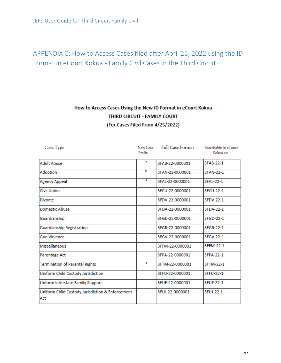# APPENDIX C: How to Access Cases filed after April 25, 2022 using the ID Format in eCourt Kokua - Family Civil Cases in the Third Circuit

## How to Access Cases Using the New ID Format in eCourt Kokua THIRD CIRCUIT - FAMILY COURT (For Cases Filed From 4/25/2022)

| Case Type                                               | New Case<br>Prefix | <b>Full Case Format</b> | Searchable in eCourt<br>Kokua as: |
|---------------------------------------------------------|--------------------|-------------------------|-----------------------------------|
| <b>Adult Abuse</b>                                      | *                  | 3FAB-22-0000001         | 3FAB-22-1                         |
| Adoption                                                | *                  | 3FAN-22-0000001         | 3FAN-22-1                         |
| <b>Agency Appeal</b>                                    | 含                  | 3FAL-22-0000001         | 3FAI-22-1                         |
| <b>Civil Union</b>                                      |                    | 3FCU-22-0000001         | 3FCU-22-1                         |
| <b>Divorce</b>                                          |                    | 3FDV-22-0000001         | 3FDV-22-1                         |
| <b>Domestic Abuse</b>                                   |                    | 3FDA-22-0000001         | 3FDA-22-1                         |
| Guardianship                                            |                    | 3FGD-22-0000001         | 3FGD-22-1                         |
| <b>Guardianship Registration</b>                        |                    | 3FGR-22-0000001         | 3FGR-22-1                         |
| <b>Gun Violence</b>                                     |                    | 3FGV-22-0000001         | 3FGV-22-1                         |
| <b>Miscellaneous</b>                                    |                    | 3FFM-22-0000001         | 3FFM-22-1                         |
| Parentage Act                                           |                    | 3FPA-22-0000001         | 3FPA-22-1                         |
| <b>Termination of Parental Rights</b>                   | *                  | 3FTM-22-0000001         | 3FTM-22-1                         |
| Uniform Child Custody Jurisdiction                      |                    | 3FFU-22-0000001         | 3FFU-22-1                         |
| Unform Interstate Family Support                        |                    | 3FUF-22-0000001         | 3FUF-22-1                         |
| Uniform Child Custody Jurisdiction & Enforcement<br>Act |                    | 3FUJ-22-0000001         | 3FUJ-22-1                         |